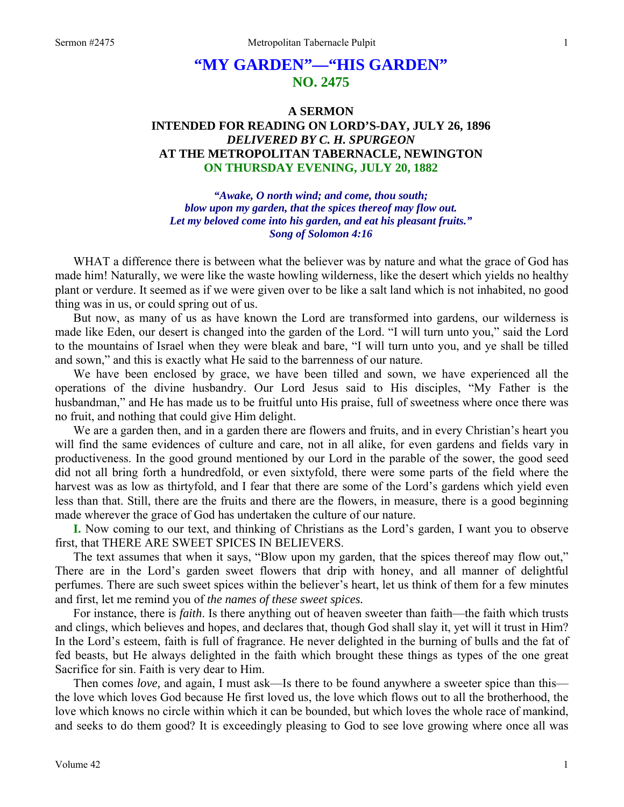# **"MY GARDEN"—"HIS GARDEN" NO. 2475**

# **A SERMON INTENDED FOR READING ON LORD'S-DAY, JULY 26, 1896**  *DELIVERED BY C. H. SPURGEON*  **AT THE METROPOLITAN TABERNACLE, NEWINGTON ON THURSDAY EVENING, JULY 20, 1882**

*"Awake, O north wind; and come, thou south; blow upon my garden, that the spices thereof may flow out. Let my beloved come into his garden, and eat his pleasant fruits." Song of Solomon 4:16* 

WHAT a difference there is between what the believer was by nature and what the grace of God has made him! Naturally, we were like the waste howling wilderness, like the desert which yields no healthy plant or verdure. It seemed as if we were given over to be like a salt land which is not inhabited, no good thing was in us, or could spring out of us.

But now, as many of us as have known the Lord are transformed into gardens, our wilderness is made like Eden, our desert is changed into the garden of the Lord. "I will turn unto you," said the Lord to the mountains of Israel when they were bleak and bare, "I will turn unto you, and ye shall be tilled and sown," and this is exactly what He said to the barrenness of our nature.

We have been enclosed by grace, we have been tilled and sown, we have experienced all the operations of the divine husbandry. Our Lord Jesus said to His disciples, "My Father is the husbandman," and He has made us to be fruitful unto His praise, full of sweetness where once there was no fruit, and nothing that could give Him delight.

We are a garden then, and in a garden there are flowers and fruits, and in every Christian's heart you will find the same evidences of culture and care, not in all alike, for even gardens and fields vary in productiveness. In the good ground mentioned by our Lord in the parable of the sower, the good seed did not all bring forth a hundredfold, or even sixtyfold, there were some parts of the field where the harvest was as low as thirtyfold, and I fear that there are some of the Lord's gardens which yield even less than that. Still, there are the fruits and there are the flowers, in measure, there is a good beginning made wherever the grace of God has undertaken the culture of our nature.

**I.** Now coming to our text, and thinking of Christians as the Lord's garden, I want you to observe first, that THERE ARE SWEET SPICES IN BELIEVERS.

The text assumes that when it says, "Blow upon my garden, that the spices thereof may flow out," There are in the Lord's garden sweet flowers that drip with honey, and all manner of delightful perfumes. There are such sweet spices within the believer's heart, let us think of them for a few minutes and first, let me remind you of *the names of these sweet spices.* 

For instance, there is *faith*. Is there anything out of heaven sweeter than faith—the faith which trusts and clings, which believes and hopes, and declares that, though God shall slay it, yet will it trust in Him? In the Lord's esteem, faith is full of fragrance. He never delighted in the burning of bulls and the fat of fed beasts, but He always delighted in the faith which brought these things as types of the one great Sacrifice for sin. Faith is very dear to Him.

Then comes *love,* and again, I must ask—Is there to be found anywhere a sweeter spice than this the love which loves God because He first loved us, the love which flows out to all the brotherhood, the love which knows no circle within which it can be bounded, but which loves the whole race of mankind, and seeks to do them good? It is exceedingly pleasing to God to see love growing where once all was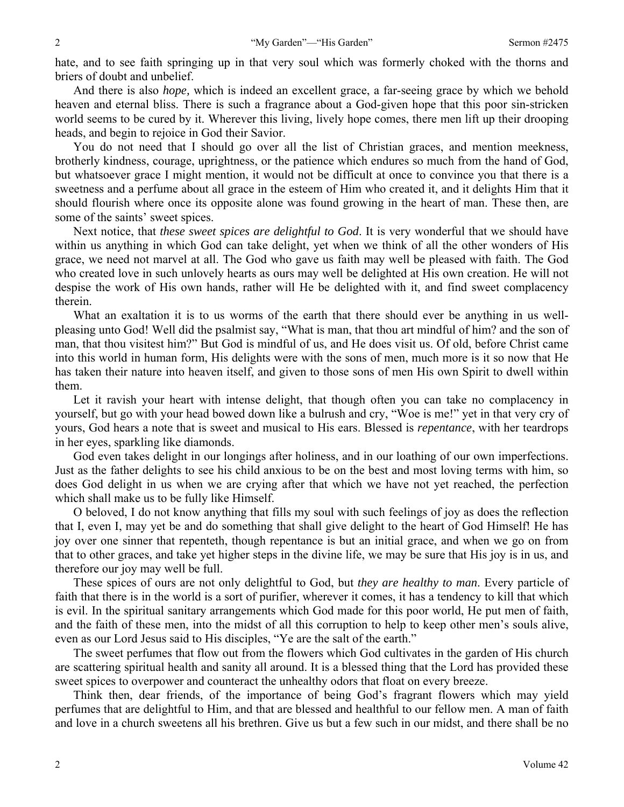hate, and to see faith springing up in that very soul which was formerly choked with the thorns and briers of doubt and unbelief.

And there is also *hope,* which is indeed an excellent grace, a far-seeing grace by which we behold heaven and eternal bliss. There is such a fragrance about a God-given hope that this poor sin-stricken world seems to be cured by it. Wherever this living, lively hope comes, there men lift up their drooping heads, and begin to rejoice in God their Savior.

You do not need that I should go over all the list of Christian graces, and mention meekness, brotherly kindness, courage, uprightness, or the patience which endures so much from the hand of God, but whatsoever grace I might mention, it would not be difficult at once to convince you that there is a sweetness and a perfume about all grace in the esteem of Him who created it, and it delights Him that it should flourish where once its opposite alone was found growing in the heart of man. These then, are some of the saints' sweet spices.

Next notice, that *these sweet spices are delightful to God*. It is very wonderful that we should have within us anything in which God can take delight, yet when we think of all the other wonders of His grace, we need not marvel at all. The God who gave us faith may well be pleased with faith. The God who created love in such unlovely hearts as ours may well be delighted at His own creation. He will not despise the work of His own hands, rather will He be delighted with it, and find sweet complacency therein.

What an exaltation it is to us worms of the earth that there should ever be anything in us wellpleasing unto God! Well did the psalmist say, "What is man, that thou art mindful of him? and the son of man, that thou visitest him?" But God is mindful of us, and He does visit us. Of old, before Christ came into this world in human form, His delights were with the sons of men, much more is it so now that He has taken their nature into heaven itself, and given to those sons of men His own Spirit to dwell within them.

Let it ravish your heart with intense delight, that though often you can take no complacency in yourself, but go with your head bowed down like a bulrush and cry, "Woe is me!" yet in that very cry of yours, God hears a note that is sweet and musical to His ears. Blessed is *repentance*, with her teardrops in her eyes, sparkling like diamonds.

God even takes delight in our longings after holiness, and in our loathing of our own imperfections. Just as the father delights to see his child anxious to be on the best and most loving terms with him, so does God delight in us when we are crying after that which we have not yet reached, the perfection which shall make us to be fully like Himself.

O beloved, I do not know anything that fills my soul with such feelings of joy as does the reflection that I, even I, may yet be and do something that shall give delight to the heart of God Himself! He has joy over one sinner that repenteth, though repentance is but an initial grace, and when we go on from that to other graces, and take yet higher steps in the divine life, we may be sure that His joy is in us, and therefore our joy may well be full.

These spices of ours are not only delightful to God, but *they are healthy to man*. Every particle of faith that there is in the world is a sort of purifier, wherever it comes, it has a tendency to kill that which is evil. In the spiritual sanitary arrangements which God made for this poor world, He put men of faith, and the faith of these men, into the midst of all this corruption to help to keep other men's souls alive, even as our Lord Jesus said to His disciples, "Ye are the salt of the earth."

The sweet perfumes that flow out from the flowers which God cultivates in the garden of His church are scattering spiritual health and sanity all around. It is a blessed thing that the Lord has provided these sweet spices to overpower and counteract the unhealthy odors that float on every breeze.

Think then, dear friends, of the importance of being God's fragrant flowers which may yield perfumes that are delightful to Him, and that are blessed and healthful to our fellow men. A man of faith and love in a church sweetens all his brethren. Give us but a few such in our midst, and there shall be no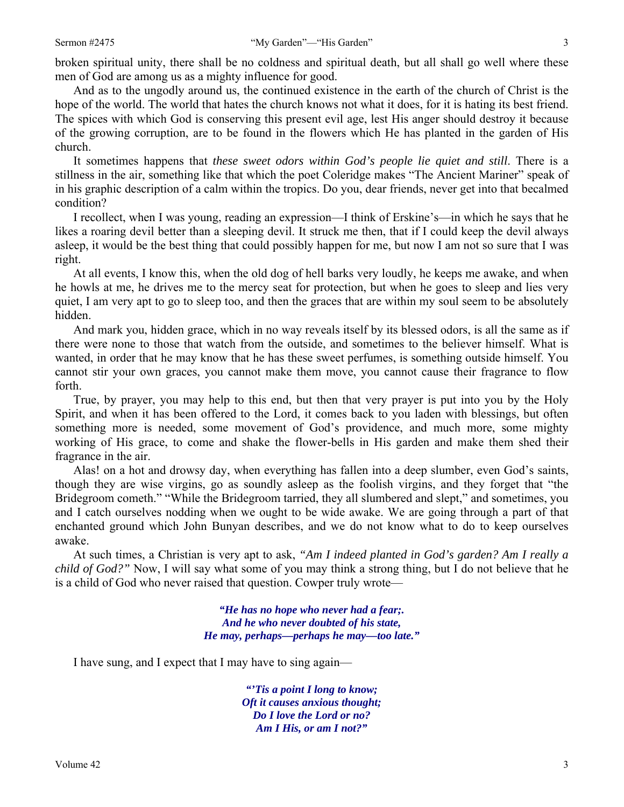broken spiritual unity, there shall be no coldness and spiritual death, but all shall go well where these men of God are among us as a mighty influence for good.

And as to the ungodly around us, the continued existence in the earth of the church of Christ is the hope of the world. The world that hates the church knows not what it does, for it is hating its best friend. The spices with which God is conserving this present evil age, lest His anger should destroy it because of the growing corruption, are to be found in the flowers which He has planted in the garden of His church.

It sometimes happens that *these sweet odors within God's people lie quiet and still*. There is a stillness in the air, something like that which the poet Coleridge makes "The Ancient Mariner" speak of in his graphic description of a calm within the tropics. Do you, dear friends, never get into that becalmed condition?

I recollect, when I was young, reading an expression—I think of Erskine's—in which he says that he likes a roaring devil better than a sleeping devil. It struck me then, that if I could keep the devil always asleep, it would be the best thing that could possibly happen for me, but now I am not so sure that I was right.

At all events, I know this, when the old dog of hell barks very loudly, he keeps me awake, and when he howls at me, he drives me to the mercy seat for protection, but when he goes to sleep and lies very quiet, I am very apt to go to sleep too, and then the graces that are within my soul seem to be absolutely hidden.

And mark you, hidden grace, which in no way reveals itself by its blessed odors, is all the same as if there were none to those that watch from the outside, and sometimes to the believer himself. What is wanted, in order that he may know that he has these sweet perfumes, is something outside himself. You cannot stir your own graces, you cannot make them move, you cannot cause their fragrance to flow forth.

True, by prayer, you may help to this end, but then that very prayer is put into you by the Holy Spirit, and when it has been offered to the Lord, it comes back to you laden with blessings, but often something more is needed, some movement of God's providence, and much more, some mighty working of His grace, to come and shake the flower-bells in His garden and make them shed their fragrance in the air.

Alas! on a hot and drowsy day, when everything has fallen into a deep slumber, even God's saints, though they are wise virgins, go as soundly asleep as the foolish virgins, and they forget that "the Bridegroom cometh." "While the Bridegroom tarried, they all slumbered and slept," and sometimes, you and I catch ourselves nodding when we ought to be wide awake. We are going through a part of that enchanted ground which John Bunyan describes, and we do not know what to do to keep ourselves awake.

At such times, a Christian is very apt to ask, *"Am I indeed planted in God's garden? Am I really a child of God?"* Now, I will say what some of you may think a strong thing, but I do not believe that he is a child of God who never raised that question. Cowper truly wrote—

> *"He has no hope who never had a fear;. And he who never doubted of his state, He may, perhaps—perhaps he may—too late."*

I have sung, and I expect that I may have to sing again—

*"'Tis a point I long to know; Oft it causes anxious thought; Do I love the Lord or no? Am I His, or am I not?"*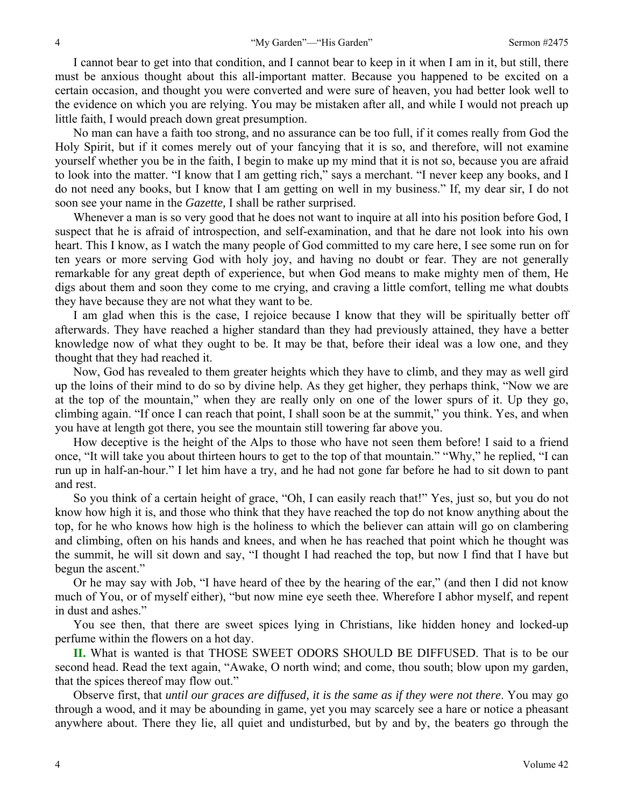I cannot bear to get into that condition, and I cannot bear to keep in it when I am in it, but still, there must be anxious thought about this all-important matter. Because you happened to be excited on a certain occasion, and thought you were converted and were sure of heaven, you had better look well to the evidence on which you are relying. You may be mistaken after all, and while I would not preach up little faith, I would preach down great presumption.

No man can have a faith too strong, and no assurance can be too full, if it comes really from God the Holy Spirit, but if it comes merely out of your fancying that it is so, and therefore, will not examine yourself whether you be in the faith, I begin to make up my mind that it is not so, because you are afraid to look into the matter. "I know that I am getting rich," says a merchant. "I never keep any books, and I do not need any books, but I know that I am getting on well in my business." If, my dear sir, I do not soon see your name in the *Gazette,* I shall be rather surprised.

Whenever a man is so very good that he does not want to inquire at all into his position before God, I suspect that he is afraid of introspection, and self-examination, and that he dare not look into his own heart. This I know, as I watch the many people of God committed to my care here, I see some run on for ten years or more serving God with holy joy, and having no doubt or fear. They are not generally remarkable for any great depth of experience, but when God means to make mighty men of them, He digs about them and soon they come to me crying, and craving a little comfort, telling me what doubts they have because they are not what they want to be.

I am glad when this is the case, I rejoice because I know that they will be spiritually better off afterwards. They have reached a higher standard than they had previously attained, they have a better knowledge now of what they ought to be. It may be that, before their ideal was a low one, and they thought that they had reached it.

Now, God has revealed to them greater heights which they have to climb, and they may as well gird up the loins of their mind to do so by divine help. As they get higher, they perhaps think, "Now we are at the top of the mountain," when they are really only on one of the lower spurs of it. Up they go, climbing again. "If once I can reach that point, I shall soon be at the summit," you think. Yes, and when you have at length got there, you see the mountain still towering far above you.

How deceptive is the height of the Alps to those who have not seen them before! I said to a friend once, "It will take you about thirteen hours to get to the top of that mountain." "Why," he replied, "I can run up in half-an-hour." I let him have a try, and he had not gone far before he had to sit down to pant and rest.

So you think of a certain height of grace, "Oh, I can easily reach that!" Yes, just so, but you do not know how high it is, and those who think that they have reached the top do not know anything about the top, for he who knows how high is the holiness to which the believer can attain will go on clambering and climbing, often on his hands and knees, and when he has reached that point which he thought was the summit, he will sit down and say, "I thought I had reached the top, but now I find that I have but begun the ascent."

Or he may say with Job, "I have heard of thee by the hearing of the ear," (and then I did not know much of You, or of myself either), "but now mine eye seeth thee. Wherefore I abhor myself, and repent in dust and ashes."

You see then, that there are sweet spices lying in Christians, like hidden honey and locked-up perfume within the flowers on a hot day.

**II.** What is wanted is that THOSE SWEET ODORS SHOULD BE DIFFUSED. That is to be our second head. Read the text again, "Awake, O north wind; and come, thou south; blow upon my garden, that the spices thereof may flow out."

Observe first, that *until our graces are diffused, it is the same as if they were not there*. You may go through a wood, and it may be abounding in game, yet you may scarcely see a hare or notice a pheasant anywhere about. There they lie, all quiet and undisturbed, but by and by, the beaters go through the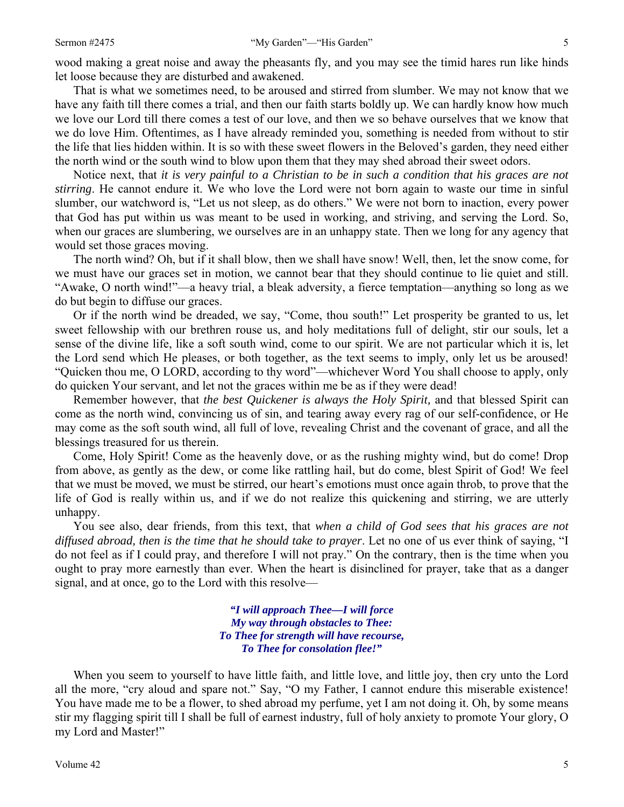wood making a great noise and away the pheasants fly, and you may see the timid hares run like hinds let loose because they are disturbed and awakened.

That is what we sometimes need, to be aroused and stirred from slumber. We may not know that we have any faith till there comes a trial, and then our faith starts boldly up. We can hardly know how much we love our Lord till there comes a test of our love, and then we so behave ourselves that we know that we do love Him. Oftentimes, as I have already reminded you, something is needed from without to stir the life that lies hidden within. It is so with these sweet flowers in the Beloved's garden, they need either the north wind or the south wind to blow upon them that they may shed abroad their sweet odors.

Notice next, that *it is very painful to a Christian to be in such a condition that his graces are not stirring*. He cannot endure it. We who love the Lord were not born again to waste our time in sinful slumber, our watchword is, "Let us not sleep, as do others." We were not born to inaction, every power that God has put within us was meant to be used in working, and striving, and serving the Lord. So, when our graces are slumbering, we ourselves are in an unhappy state. Then we long for any agency that would set those graces moving.

The north wind? Oh, but if it shall blow, then we shall have snow! Well, then, let the snow come, for we must have our graces set in motion, we cannot bear that they should continue to lie quiet and still. "Awake, O north wind!"—a heavy trial, a bleak adversity, a fierce temptation—anything so long as we do but begin to diffuse our graces.

Or if the north wind be dreaded, we say, "Come, thou south!" Let prosperity be granted to us, let sweet fellowship with our brethren rouse us, and holy meditations full of delight, stir our souls, let a sense of the divine life, like a soft south wind, come to our spirit. We are not particular which it is, let the Lord send which He pleases, or both together, as the text seems to imply, only let us be aroused! "Quicken thou me, O LORD, according to thy word"—whichever Word You shall choose to apply, only do quicken Your servant, and let not the graces within me be as if they were dead!

Remember however, that *the best Quickener is always the Holy Spirit,* and that blessed Spirit can come as the north wind, convincing us of sin, and tearing away every rag of our self-confidence, or He may come as the soft south wind, all full of love, revealing Christ and the covenant of grace, and all the blessings treasured for us therein.

Come, Holy Spirit! Come as the heavenly dove, or as the rushing mighty wind, but do come! Drop from above, as gently as the dew, or come like rattling hail, but do come, blest Spirit of God! We feel that we must be moved, we must be stirred, our heart's emotions must once again throb, to prove that the life of God is really within us, and if we do not realize this quickening and stirring, we are utterly unhappy.

You see also, dear friends, from this text, that *when a child of God sees that his graces are not diffused abroad, then is the time that he should take to prayer*. Let no one of us ever think of saying, "I do not feel as if I could pray, and therefore I will not pray." On the contrary, then is the time when you ought to pray more earnestly than ever. When the heart is disinclined for prayer, take that as a danger signal, and at once, go to the Lord with this resolve—

> *"I will approach Thee—I will force My way through obstacles to Thee: To Thee for strength will have recourse, To Thee for consolation flee!"*

When you seem to yourself to have little faith, and little love, and little joy, then cry unto the Lord all the more, "cry aloud and spare not." Say, "O my Father, I cannot endure this miserable existence! You have made me to be a flower, to shed abroad my perfume, yet I am not doing it. Oh, by some means stir my flagging spirit till I shall be full of earnest industry, full of holy anxiety to promote Your glory, O my Lord and Master!"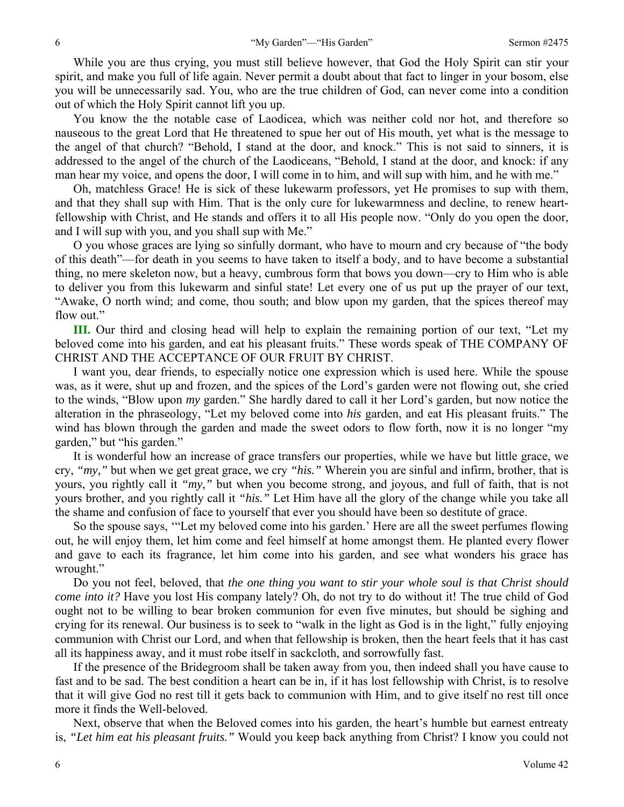While you are thus crying, you must still believe however, that God the Holy Spirit can stir your spirit, and make you full of life again. Never permit a doubt about that fact to linger in your bosom, else you will be unnecessarily sad. You, who are the true children of God, can never come into a condition out of which the Holy Spirit cannot lift you up.

You know the the notable case of Laodicea, which was neither cold nor hot, and therefore so nauseous to the great Lord that He threatened to spue her out of His mouth, yet what is the message to the angel of that church? "Behold, I stand at the door, and knock." This is not said to sinners, it is addressed to the angel of the church of the Laodiceans, "Behold, I stand at the door, and knock: if any man hear my voice, and opens the door, I will come in to him, and will sup with him, and he with me."

Oh, matchless Grace! He is sick of these lukewarm professors, yet He promises to sup with them, and that they shall sup with Him. That is the only cure for lukewarmness and decline, to renew heartfellowship with Christ, and He stands and offers it to all His people now. "Only do you open the door, and I will sup with you, and you shall sup with Me."

O you whose graces are lying so sinfully dormant, who have to mourn and cry because of "the body of this death"—for death in you seems to have taken to itself a body, and to have become a substantial thing, no mere skeleton now, but a heavy, cumbrous form that bows you down—cry to Him who is able to deliver you from this lukewarm and sinful state! Let every one of us put up the prayer of our text, "Awake, O north wind; and come, thou south; and blow upon my garden, that the spices thereof may flow out."

**III.** Our third and closing head will help to explain the remaining portion of our text, "Let my beloved come into his garden, and eat his pleasant fruits." These words speak of THE COMPANY OF CHRIST AND THE ACCEPTANCE OF OUR FRUIT BY CHRIST.

I want you, dear friends, to especially notice one expression which is used here. While the spouse was, as it were, shut up and frozen, and the spices of the Lord's garden were not flowing out, she cried to the winds, "Blow upon *my* garden." She hardly dared to call it her Lord's garden, but now notice the alteration in the phraseology, "Let my beloved come into *his* garden, and eat His pleasant fruits." The wind has blown through the garden and made the sweet odors to flow forth, now it is no longer "my garden," but "his garden."

It is wonderful how an increase of grace transfers our properties, while we have but little grace, we cry, *"my,"* but when we get great grace, we cry *"his."* Wherein you are sinful and infirm, brother, that is yours, you rightly call it *"my,"* but when you become strong, and joyous, and full of faith, that is not yours brother, and you rightly call it *"his."* Let Him have all the glory of the change while you take all the shame and confusion of face to yourself that ever you should have been so destitute of grace.

So the spouse says, '"Let my beloved come into his garden.' Here are all the sweet perfumes flowing out, he will enjoy them, let him come and feel himself at home amongst them. He planted every flower and gave to each its fragrance, let him come into his garden, and see what wonders his grace has wrought."

Do you not feel, beloved, that *the one thing you want to stir your whole soul is that Christ should come into it?* Have you lost His company lately? Oh, do not try to do without it! The true child of God ought not to be willing to bear broken communion for even five minutes, but should be sighing and crying for its renewal. Our business is to seek to "walk in the light as God is in the light," fully enjoying communion with Christ our Lord, and when that fellowship is broken, then the heart feels that it has cast all its happiness away, and it must robe itself in sackcloth, and sorrowfully fast.

If the presence of the Bridegroom shall be taken away from you, then indeed shall you have cause to fast and to be sad. The best condition a heart can be in, if it has lost fellowship with Christ, is to resolve that it will give God no rest till it gets back to communion with Him, and to give itself no rest till once more it finds the Well-beloved.

Next, observe that when the Beloved comes into his garden, the heart's humble but earnest entreaty is, *"Let him eat his pleasant fruits."* Would you keep back anything from Christ? I know you could not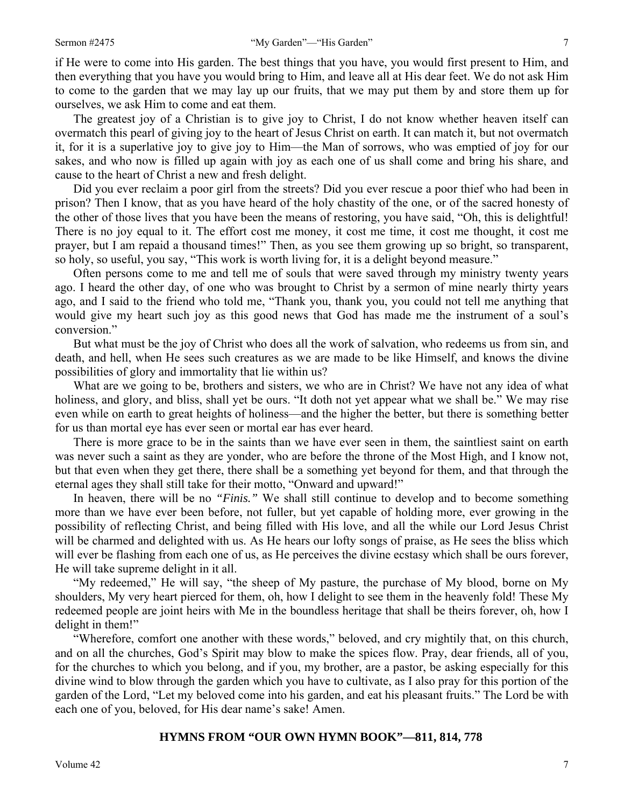if He were to come into His garden. The best things that you have, you would first present to Him, and then everything that you have you would bring to Him, and leave all at His dear feet. We do not ask Him to come to the garden that we may lay up our fruits, that we may put them by and store them up for ourselves, we ask Him to come and eat them.

The greatest joy of a Christian is to give joy to Christ, I do not know whether heaven itself can overmatch this pearl of giving joy to the heart of Jesus Christ on earth. It can match it, but not overmatch it, for it is a superlative joy to give joy to Him—the Man of sorrows, who was emptied of joy for our sakes, and who now is filled up again with joy as each one of us shall come and bring his share, and cause to the heart of Christ a new and fresh delight.

Did you ever reclaim a poor girl from the streets? Did you ever rescue a poor thief who had been in prison? Then I know, that as you have heard of the holy chastity of the one, or of the sacred honesty of the other of those lives that you have been the means of restoring, you have said, "Oh, this is delightful! There is no joy equal to it. The effort cost me money, it cost me time, it cost me thought, it cost me prayer, but I am repaid a thousand times!" Then, as you see them growing up so bright, so transparent, so holy, so useful, you say, "This work is worth living for, it is a delight beyond measure."

Often persons come to me and tell me of souls that were saved through my ministry twenty years ago. I heard the other day, of one who was brought to Christ by a sermon of mine nearly thirty years ago, and I said to the friend who told me, "Thank you, thank you, you could not tell me anything that would give my heart such joy as this good news that God has made me the instrument of a soul's conversion."

But what must be the joy of Christ who does all the work of salvation, who redeems us from sin, and death, and hell, when He sees such creatures as we are made to be like Himself, and knows the divine possibilities of glory and immortality that lie within us?

What are we going to be, brothers and sisters, we who are in Christ? We have not any idea of what holiness, and glory, and bliss, shall yet be ours. "It doth not yet appear what we shall be." We may rise even while on earth to great heights of holiness—and the higher the better, but there is something better for us than mortal eye has ever seen or mortal ear has ever heard.

There is more grace to be in the saints than we have ever seen in them, the saintliest saint on earth was never such a saint as they are yonder, who are before the throne of the Most High, and I know not, but that even when they get there, there shall be a something yet beyond for them, and that through the eternal ages they shall still take for their motto, "Onward and upward!"

In heaven, there will be no *"Finis."* We shall still continue to develop and to become something more than we have ever been before, not fuller, but yet capable of holding more, ever growing in the possibility of reflecting Christ, and being filled with His love, and all the while our Lord Jesus Christ will be charmed and delighted with us. As He hears our lofty songs of praise, as He sees the bliss which will ever be flashing from each one of us, as He perceives the divine ecstasy which shall be ours forever, He will take supreme delight in it all.

"My redeemed," He will say, "the sheep of My pasture, the purchase of My blood, borne on My shoulders, My very heart pierced for them, oh, how I delight to see them in the heavenly fold! These My redeemed people are joint heirs with Me in the boundless heritage that shall be theirs forever, oh, how I delight in them!"

"Wherefore, comfort one another with these words," beloved, and cry mightily that, on this church, and on all the churches, God's Spirit may blow to make the spices flow. Pray, dear friends, all of you, for the churches to which you belong, and if you, my brother, are a pastor, be asking especially for this divine wind to blow through the garden which you have to cultivate, as I also pray for this portion of the garden of the Lord, "Let my beloved come into his garden, and eat his pleasant fruits." The Lord be with each one of you, beloved, for His dear name's sake! Amen.

#### **HYMNS FROM "OUR OWN HYMN BOOK"—811, 814, 778**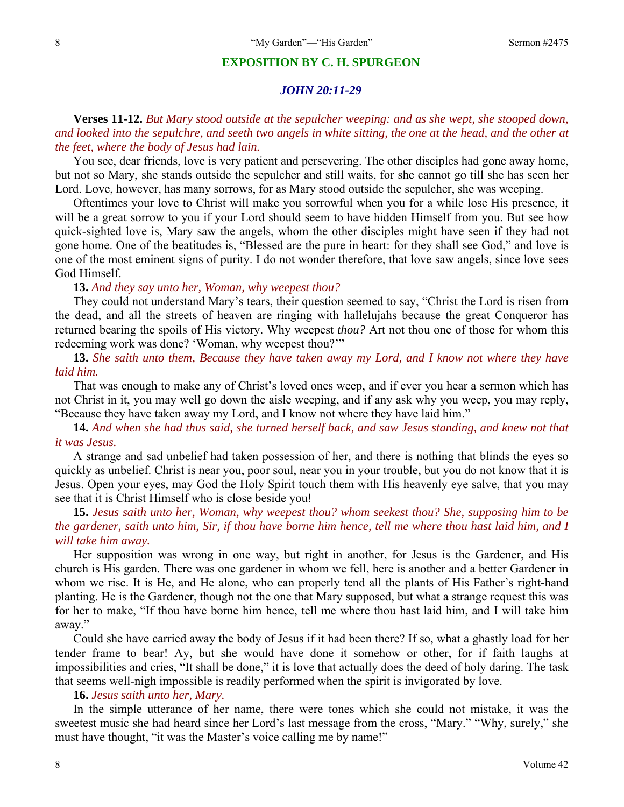#### **EXPOSITION BY C. H. SPURGEON**

### *JOHN 20:11-29*

**Verses 11-12.** *But Mary stood outside at the sepulcher weeping: and as she wept, she stooped down, and looked into the sepulchre, and seeth two angels in white sitting, the one at the head, and the other at the feet, where the body of Jesus had lain.* 

You see, dear friends, love is very patient and persevering. The other disciples had gone away home, but not so Mary, she stands outside the sepulcher and still waits, for she cannot go till she has seen her Lord. Love, however, has many sorrows, for as Mary stood outside the sepulcher, she was weeping.

Oftentimes your love to Christ will make you sorrowful when you for a while lose His presence, it will be a great sorrow to you if your Lord should seem to have hidden Himself from you. But see how quick-sighted love is, Mary saw the angels, whom the other disciples might have seen if they had not gone home. One of the beatitudes is, "Blessed are the pure in heart: for they shall see God," and love is one of the most eminent signs of purity. I do not wonder therefore, that love saw angels, since love sees God Himself.

#### **13.** *And they say unto her, Woman, why weepest thou?*

They could not understand Mary's tears, their question seemed to say, "Christ the Lord is risen from the dead, and all the streets of heaven are ringing with hallelujahs because the great Conqueror has returned bearing the spoils of His victory. Why weepest *thou?* Art not thou one of those for whom this redeeming work was done? 'Woman, why weepest thou?'"

**13.** *She saith unto them, Because they have taken away my Lord, and I know not where they have laid him.* 

That was enough to make any of Christ's loved ones weep, and if ever you hear a sermon which has not Christ in it, you may well go down the aisle weeping, and if any ask why you weep, you may reply, "Because they have taken away my Lord, and I know not where they have laid him."

**14.** *And when she had thus said, she turned herself back, and saw Jesus standing, and knew not that it was Jesus.* 

A strange and sad unbelief had taken possession of her, and there is nothing that blinds the eyes so quickly as unbelief. Christ is near you, poor soul, near you in your trouble, but you do not know that it is Jesus. Open your eyes, may God the Holy Spirit touch them with His heavenly eye salve, that you may see that it is Christ Himself who is close beside you!

# **15.** *Jesus saith unto her, Woman, why weepest thou? whom seekest thou? She, supposing him to be the gardener, saith unto him, Sir, if thou have borne him hence, tell me where thou hast laid him, and I will take him away.*

Her supposition was wrong in one way, but right in another, for Jesus is the Gardener, and His church is His garden. There was one gardener in whom we fell, here is another and a better Gardener in whom we rise. It is He, and He alone, who can properly tend all the plants of His Father's right-hand planting. He is the Gardener, though not the one that Mary supposed, but what a strange request this was for her to make, "If thou have borne him hence, tell me where thou hast laid him, and I will take him away."

Could she have carried away the body of Jesus if it had been there? If so, what a ghastly load for her tender frame to bear! Ay, but she would have done it somehow or other, for if faith laughs at impossibilities and cries, "It shall be done," it is love that actually does the deed of holy daring. The task that seems well-nigh impossible is readily performed when the spirit is invigorated by love.

### **16.** *Jesus saith unto her, Mary.*

In the simple utterance of her name, there were tones which she could not mistake, it was the sweetest music she had heard since her Lord's last message from the cross, "Mary." "Why, surely," she must have thought, "it was the Master's voice calling me by name!"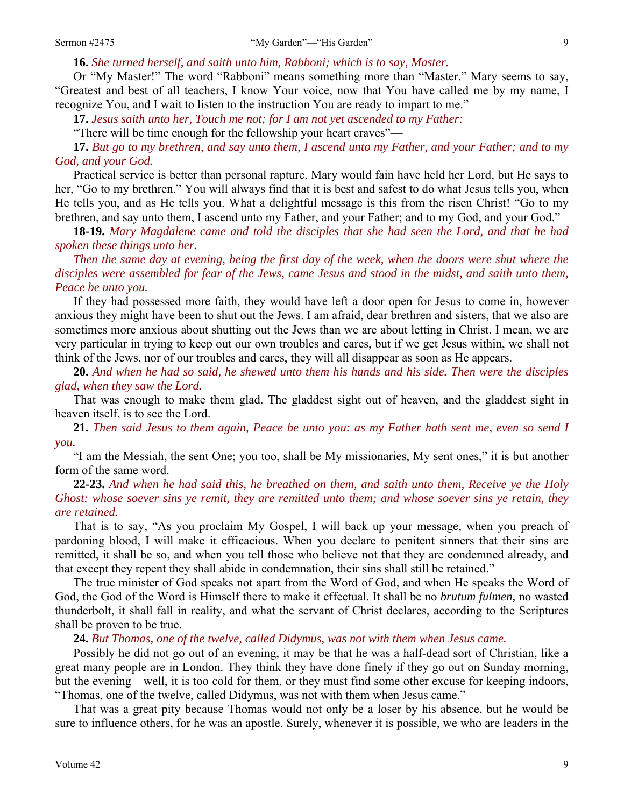**16.** *She turned herself, and saith unto him, Rabboni; which is to say, Master.* 

Or "My Master!" The word "Rabboni" means something more than "Master." Mary seems to say, "Greatest and best of all teachers, I know Your voice, now that You have called me by my name, I recognize You, and I wait to listen to the instruction You are ready to impart to me."

**17.** *Jesus saith unto her, Touch me not; for I am not yet ascended to my Father:* 

"There will be time enough for the fellowship your heart craves"—

**17.** *But go to my brethren, and say unto them, I ascend unto my Father, and your Father; and to my God, and your God.* 

Practical service is better than personal rapture. Mary would fain have held her Lord, but He says to her, "Go to my brethren." You will always find that it is best and safest to do what Jesus tells you, when He tells you, and as He tells you. What a delightful message is this from the risen Christ! "Go to my brethren, and say unto them, I ascend unto my Father, and your Father; and to my God, and your God."

**18-19.** *Mary Magdalene came and told the disciples that she had seen the Lord, and that he had spoken these things unto her.* 

*Then the same day at evening, being the first day of the week, when the doors were shut where the disciples were assembled for fear of the Jews, came Jesus and stood in the midst, and saith unto them, Peace be unto you.* 

If they had possessed more faith, they would have left a door open for Jesus to come in, however anxious they might have been to shut out the Jews. I am afraid, dear brethren and sisters, that we also are sometimes more anxious about shutting out the Jews than we are about letting in Christ. I mean, we are very particular in trying to keep out our own troubles and cares, but if we get Jesus within, we shall not think of the Jews, nor of our troubles and cares, they will all disappear as soon as He appears.

**20.** *And when he had so said, he shewed unto them his hands and his side. Then were the disciples glad, when they saw the Lord.* 

That was enough to make them glad. The gladdest sight out of heaven, and the gladdest sight in heaven itself, is to see the Lord.

**21.** *Then said Jesus to them again, Peace be unto you: as my Father hath sent me, even so send I you.* 

"I am the Messiah, the sent One; you too, shall be My missionaries, My sent ones," it is but another form of the same word.

**22-23.** *And when he had said this, he breathed on them, and saith unto them, Receive ye the Holy Ghost: whose soever sins ye remit, they are remitted unto them; and whose soever sins ye retain, they are retained.* 

That is to say, "As you proclaim My Gospel, I will back up your message, when you preach of pardoning blood, I will make it efficacious. When you declare to penitent sinners that their sins are remitted, it shall be so, and when you tell those who believe not that they are condemned already, and that except they repent they shall abide in condemnation, their sins shall still be retained."

The true minister of God speaks not apart from the Word of God, and when He speaks the Word of God, the God of the Word is Himself there to make it effectual. It shall be no *brutum fulmen,* no wasted thunderbolt, it shall fall in reality, and what the servant of Christ declares, according to the Scriptures shall be proven to be true.

**24.** *But Thomas, one of the twelve, called Didymus, was not with them when Jesus came.* 

Possibly he did not go out of an evening, it may be that he was a half-dead sort of Christian, like a great many people are in London. They think they have done finely if they go out on Sunday morning, but the evening—well, it is too cold for them, or they must find some other excuse for keeping indoors, "Thomas, one of the twelve, called Didymus, was not with them when Jesus came."

That was a great pity because Thomas would not only be a loser by his absence, but he would be sure to influence others, for he was an apostle. Surely, whenever it is possible, we who are leaders in the